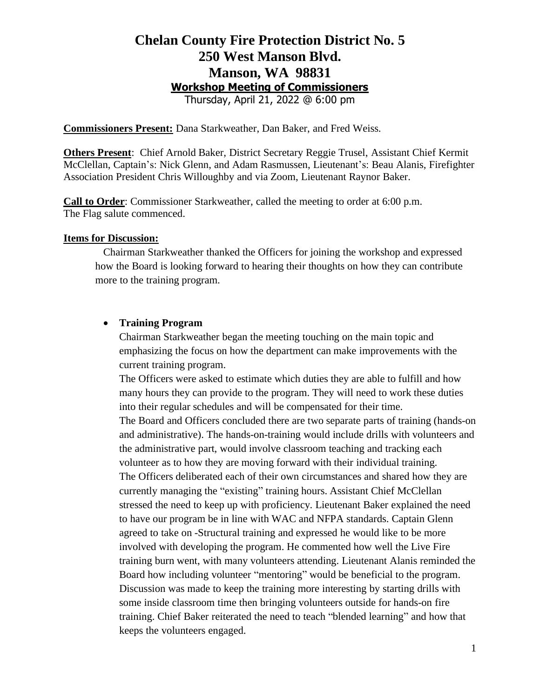## **Chelan County Fire Protection District No. 5 250 West Manson Blvd. Manson, WA 98831 Workshop Meeting of Commissioners**

Thursday, April 21, 2022 @ 6:00 pm

**Commissioners Present:** Dana Starkweather, Dan Baker, and Fred Weiss.

**Others Present**: Chief Arnold Baker, District Secretary Reggie Trusel, Assistant Chief Kermit McClellan, Captain's: Nick Glenn, and Adam Rasmussen, Lieutenant's: Beau Alanis, Firefighter Association President Chris Willoughby and via Zoom, Lieutenant Raynor Baker.

**Call to Order**: Commissioner Starkweather, called the meeting to order at 6:00 p.m. The Flag salute commenced.

#### **Items for Discussion:**

Chairman Starkweather thanked the Officers for joining the workshop and expressed how the Board is looking forward to hearing their thoughts on how they can contribute more to the training program.

### • **Training Program**

Chairman Starkweather began the meeting touching on the main topic and emphasizing the focus on how the department can make improvements with the current training program.

The Officers were asked to estimate which duties they are able to fulfill and how many hours they can provide to the program. They will need to work these duties into their regular schedules and will be compensated for their time.

The Board and Officers concluded there are two separate parts of training (hands-on and administrative). The hands-on-training would include drills with volunteers and the administrative part, would involve classroom teaching and tracking each volunteer as to how they are moving forward with their individual training. The Officers deliberated each of their own circumstances and shared how they are currently managing the "existing" training hours. Assistant Chief McClellan stressed the need to keep up with proficiency. Lieutenant Baker explained the need to have our program be in line with WAC and NFPA standards. Captain Glenn agreed to take on -Structural training and expressed he would like to be more involved with developing the program. He commented how well the Live Fire training burn went, with many volunteers attending. Lieutenant Alanis reminded the Board how including volunteer "mentoring" would be beneficial to the program. Discussion was made to keep the training more interesting by starting drills with some inside classroom time then bringing volunteers outside for hands-on fire training. Chief Baker reiterated the need to teach "blended learning" and how that keeps the volunteers engaged.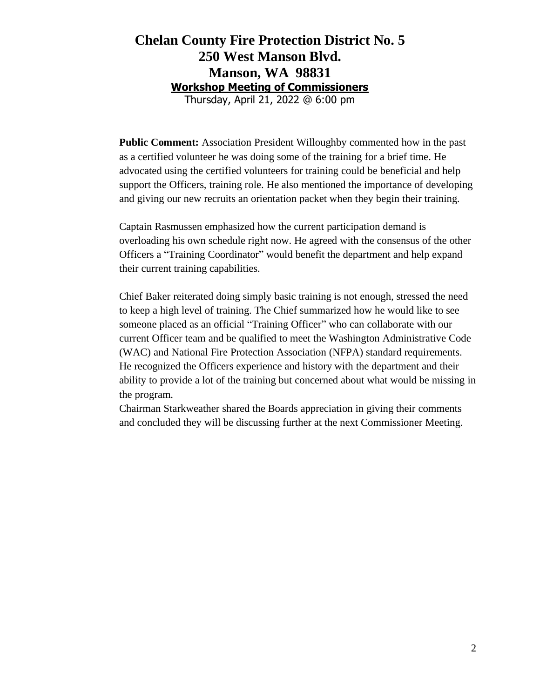## **Chelan County Fire Protection District No. 5 250 West Manson Blvd. Manson, WA 98831 Workshop Meeting of Commissioners**

Thursday, April 21, 2022 @ 6:00 pm

**Public Comment:** Association President Willoughby commented how in the past as a certified volunteer he was doing some of the training for a brief time. He advocated using the certified volunteers for training could be beneficial and help support the Officers, training role. He also mentioned the importance of developing and giving our new recruits an orientation packet when they begin their training.

Captain Rasmussen emphasized how the current participation demand is overloading his own schedule right now. He agreed with the consensus of the other Officers a "Training Coordinator" would benefit the department and help expand their current training capabilities.

Chief Baker reiterated doing simply basic training is not enough, stressed the need to keep a high level of training. The Chief summarized how he would like to see someone placed as an official "Training Officer" who can collaborate with our current Officer team and be qualified to meet the Washington Administrative Code (WAC) and National Fire Protection Association (NFPA) standard requirements. He recognized the Officers experience and history with the department and their ability to provide a lot of the training but concerned about what would be missing in the program.

Chairman Starkweather shared the Boards appreciation in giving their comments and concluded they will be discussing further at the next Commissioner Meeting.